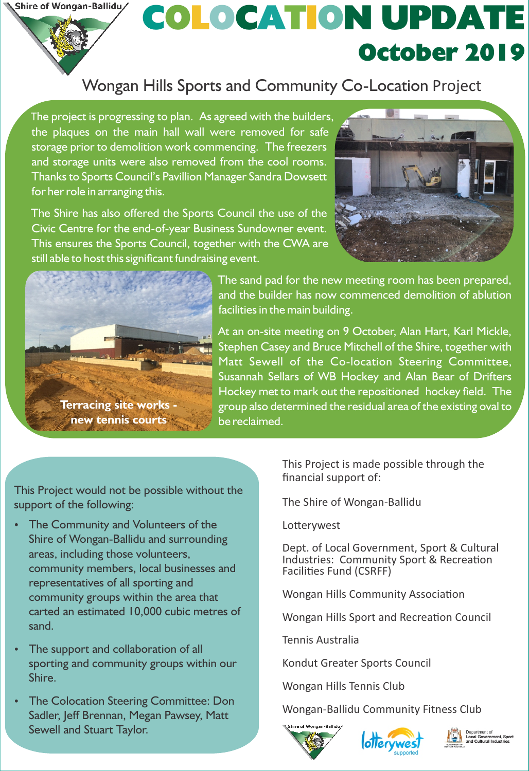Shire of Wongan-Ballidu/

## October 2019 COLOCATION UPDATE

## Wongan Hills Sports and Community Co-Location Project

The project is progressing to plan. As agreed with the builders, the plaques on the main hall wall were removed for safe storage prior to demolition work commencing. The freezers and storage units were also removed from the cool rooms. Thanks to Sports Council's Pavillion Manager Sandra Dowsett for her role in arranging this.

The Shire has also offered the Sports Council the use of the Civic Centre for the end-of-year Business Sundowner event. This ensures the Sports Council, together with the CWA are still able to host this significant fundraising event.





The sand pad for the new meeting room has been prepared, and the builder has now commenced demolition of ablution facilities in the main building.

At an on-site meeting on 9 October, Alan Hart, Karl Mickle, Stephen Casey and Bruce Mitchell of the Shire, together with Matt Sewell of the Co-location Steering Committee, Susannah Sellars of WB Hockey and Alan Bear of Drifters Hockey met to mark out the repositioned hockey field. The group also determined the residual area of the existing oval to be reclaimed.

This Project would not be possible without the support of the following:

- The Community and Volunteers of the Shire of Wongan-Ballidu and surrounding areas, including those volunteers, community members, local businesses and representatives of all sporting and community groups within the area that carted an estimated 10,000 cubic metres of sand.
- The support and collaboration of all sporting and community groups within our Shire.
- The Colocation Steering Committee: Don Sadler, Jeff Brennan, Megan Pawsey, Matt Sewell and Stuart Taylor.

financial support of: This Project is made possible through the

The Shire of Wongan-Ballidu

Lotterywest

Dept. of Local Government, Sport & Cultural Industries: Community Sport & Recreation Facilities Fund (CSRFF)

Wongan Hills Community Association

Wongan Hills Sport and Recreation Council

Tennis Australia

Kondut Greater Sports Council

Wongan Hills Tennis Club

Wongan-Ballidu Community Fitness Club